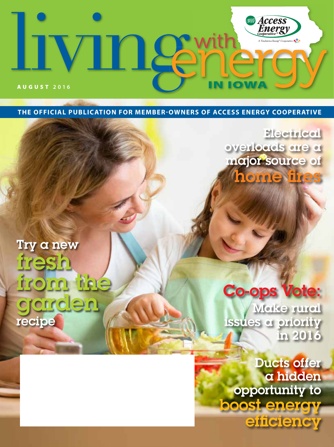

**THE OFFICIAL PUBLICATION FOR MEMBER-OWNERS OF ACCESS ENERGY COOPERATIVE**

**Electrical** overloads are a major source of home fires

# Try a new fresh from the garden recipe

# **Co-ops Vote:**

Make rural issues a priority in 2016

Ducts offer a hidden opportunity to boost energy efficiency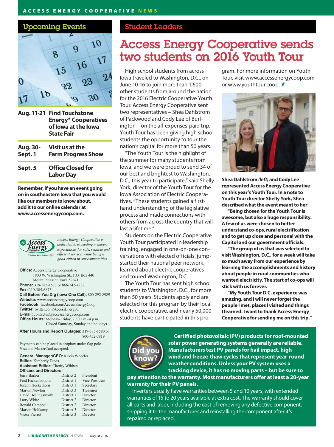#### ACCESS ENERGY COOPERATIVE NEWS

### Upcoming Events



**Aug. 11-21 Find Touchstone Energy® Cooperatives of Iowa at the Iowa State Fair**

| Aug. 30- | Visit us at the           |
|----------|---------------------------|
| Sept. 1  | <b>Farm Progress Show</b> |
|          |                           |

**Sept. 5 Office Closed for Labor Day**

**Remember, if you have an event going on in southeastern Iowa that you would like our members to know about, add it to our online calendar at www.accessenergycoop.com.**



*Access Energy Cooperative is dedicated to exceeding members' expectations for safe, reliable and efficient service, while being a good citizen in our communities.*

**Office:** Access Energy Cooperative 1800 W. Washington St., P.O. Box 440 Mount Pleasant, Iowa 52641 **Phone:** 319-385-1577 or 866-242-4232 **Fax:** 319-385-6873 **Call Before You Dig (Iowa One Call):** 800-292-8989 **Website:** www.accessenergycoop.com **Facebook:** facebook.com/AccessEnergyCoop **Twitter:** twitter.com/AccessEnergyC **E-mail:** contactus@accessenergycoop.com **Office Hours:** Monday-Friday, 7:30 a.m.-4 p.m. Closed Saturday, Sunday and holidays

**After Hours and Report Outages:** 319-385-1580 or 800-452-7819

Payments can be placed in dropbox under flag pole. Visa and MasterCard accepted.

| <b>General Manager/CEO:</b> Kevin Wheeler |            |                |  |
|-------------------------------------------|------------|----------------|--|
| <b>Editor:</b> Kimberly Davis             |            |                |  |
| <b>Assistant Editor:</b> Cherity Wibben   |            |                |  |
| <b>Officers and Directors:</b>            |            |                |  |
| Jerry Barker                              | District 2 | President      |  |
| Fred Hickenbottom                         | District 1 | Vice President |  |
| Joseph Heckethorn                         | District 1 | Secretary      |  |
| Marvin Newton                             | District 3 | Treasurer      |  |
| David Hollingsworth                       | District 1 | Director       |  |
| Larry White                               | District 2 | Director       |  |
| Ronald Campbell                           | District 2 | Director       |  |
| Marvin Holtkamp                           | District 3 | Director       |  |
| Victor Pierrot                            | District 3 | Director       |  |
|                                           |            |                |  |

### Student Leaders

# Access Energy Cooperative sends two students on 2016 Youth Tour

High school students from across Iowa traveled to Washington, D.C., on June 10-16 to join more than 1,600 other students from around the nation for the 2016 Electric Cooperative Youth Tour. Access Energy Cooperative sent two representatives – Shea Dahlstrom of Packwood and Cody Lee of Burlington – on the all-expenses-paid trip. Youth Tour has been giving high school students the opportunity to tour the nation's capital for more than 50 years.

"The Youth Tour is the highlight of the summer for many students from Iowa, and we were proud to send 34 of our best and brightest to Washington, D.C., this year to participate," said Shelly York, director of the Youth Tour for the Iowa Association of Electric Cooperatives. "These students gained a firsthand understanding of the legislative process and made connections with others from across the country that will last a lifetime"

Students on the Electric Cooperative Youth Tour participated in leadership training, engaged in one-on-one conversations with elected officials, jumpstarted their national peer network, learned about electric cooperatives and toured Washington, D.C.

The Youth Tour has sent high school students to Washington, D.C., for more than 50 years. Students apply and are selected for this program by their local electric cooperative, and nearly 50,000 students have participated in this program. For more information on Youth Tour, visit www.accessenergycoop.com or www.youthtour.coop. *≸* 



**Shea Dahlstrom** *(left)* **and Cody Lee represented Access Energy Cooperative on this year's Youth Tour. In a note to Youth Tour director Shelly York, Shea described what the event meant to her:** 

**"Being chosen for the Youth Tour is awesome, but also a huge responsibility. A few of us were chosen to better understand co-ops, rural electrification and to get up close and personal with the Capitol and our government officials.** 

**"The group of us that was selected to visit Washington, D.C., for a week will take so much away from our experience by learning the accomplishments and history about people in rural communities who wanted electricity. The start of co-ops will stick with us forever.** 

**"My Youth Tour D.C. experience was amazing, and I will never forget the people I met, places I visited and things I learned. I want to thank Access Energy Cooperative for sending me on this trip."**



֦

**Certified photovoltaic (PV) products for roof-mounted solar power generating systems generally are reliable. Manufacturers test PV panels for hail impact, high wind and freeze-thaw cycles that represent year-round weather conditions. Unless your PV system uses a tracking device, it has no moving parts – but be sure to** 

**pay attention to the warranty. Most manufacturers offer at least a 20-year warranty for their PV panels.**

Inverters usually have warranties between 5 and 10 years, with extended warranties of 15 to 20 years available at extra cost. The warranty should cover all parts and labor, including the cost of removing any defective component, shipping it to the manufacturer and reinstalling the component after it's repaired or replaced.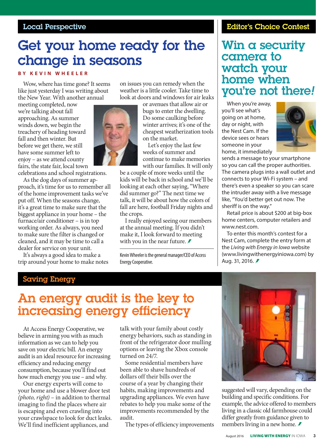### Local Perspective

# Get your home ready for the change in seasons

#### **BY KEVIN WHEELER**

Wow, where has time gone? It seems like just yesterday I was writing about the New Year. With another annual

meeting completed, now we're talking about fall approaching. As summer winds down, we begin the treachery of heading toward fall and then winter. But before we get there, we still have some summer left to enjoy – as we attend county fairs, the state fair, local town

celebrations and school registrations.

As the dog days of summer approach, it's time for us to remember all of the home improvement tasks we've put off. When the seasons change, it's a great time to make sure that the biggest appliance in your home – the furnace/air conditioner – is in top working order. As always, you need to make sure the filter is changed or cleaned, and it may be time to call a dealer for service on your unit.

It's always a good idea to make a trip around your home to make notes on issues you can remedy when the weather is a little cooler. Take time to look at doors and windows for air leaks

> or avenues that allow air or bugs to enter the dwelling. Do some caulking before winter arrives; it's one of the cheapest weatherization tools on the market.

> Let's enjoy the last few weeks of summer and continue to make memories with our families. It will only

be a couple of more weeks until the kids will be back in school and we'll be looking at each other saying, "Where did summer go?" The next time we talk, it will be about how the colors of fall are here, football Friday nights and the crops.

I really enjoyed seeing our members at the annual meeting. If you didn't make it, I look forward to meeting with you in the near future.  $\blacktriangleright$ 

Kevin Wheeler is the general manager/CEO of Access Energy Cooperative.

### Editor's Choice Contest

## Win a security camera to watch your home when you're not there*!*

When you're away, you'll see what's going on at home, day or night, with the Nest Cam. If the device sees or hears someone in your home, it immediately



sends a message to your smartphone so you can call the proper authorities. The camera plugs into a wall outlet and connects to your Wi-Fi system – and there's even a speaker so you can scare the intruder away with a live message like, "You'd better get out now. The sheriff is on the way."

Retail price is about \$200 at big-box home centers, computer retailers and www.nest.com.

To enter this month's contest for a Nest Cam, complete the entry form at the *Living with Energy in Iowa* website (www.livingwithenergyiniowa.com) by Aug. 31, 2016.

### Saving Energy

# An energy audit is the key to increasing energy efficiency

At Access Energy Cooperative, we believe in arming you with as much information as we can to help you save on your electric bill. An energy audit is an ideal resource for increasing efficiency and reducing energy consumption, because you'll find out how much energy you use – and why.

Our energy experts will come to your home and use a blower door test *(photo, right)* – in addition to thermal imaging to find the places where air is escaping and even crawling into your crawlspace to look for duct leaks. We'll find inefficient appliances, and

talk with your family about costly energy behaviors, such as standing in front of the refrigerator door mulling options or leaving the Xbox console turned on 24/7.

Some residential members have been able to shave hundreds of dollars off their bills over the course of a year by changing their habits, making improvements and upgrading appliances. We even have rebates to help you make some of the improvements recommended by the audit.

The types of efficiency improvements



suggested will vary, depending on the building and specific conditions. For example, the advice offered to members living in a classic old farmhouse could differ greatly from guidance given to members living in a new home. *≢* 

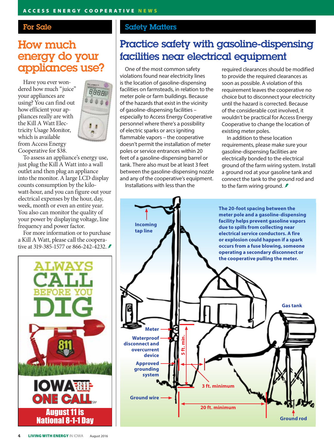### For Sale

## How much energy do your appliances use?

Have you ever wondered how much "juice" your appliances are using? You can find out how efficient your appliances really are with the Kill A Watt Electricity Usage Monitor, which is available from Access Energy Cooperative for \$38.



To assess an appliance's energy use, just plug the Kill A Watt into a wall outlet and then plug an appliance into the monitor. A large LCD display counts consumption by the kilowatt-hour, and you can figure out your electrical expenses by the hour, day, week, month or even an entire year. You also can monitor the quality of your power by displaying voltage, line frequency and power factor.

For more information or to purchase a Kill A Watt, please call the cooperative at 319-385-1577 or 866-242-4232. *≢* 



### Safety Matters

## Practice safety with gasoline-dispensing facilities near electrical equipment

One of the most common safety violations found near electricity lines is the location of gasoline-dispensing facilities on farmsteads, in relation to the meter pole or farm buildings. Because of the hazards that exist in the vicinity of gasoline-dispensing facilities – especially to Access Energy Cooperative personnel where there's a possibility of electric sparks or arcs igniting flammable vapors – the cooperative doesn't permit the installation of meter poles or service entrances within 20 feet of a gasoline-dispensing barrel or tank. There also must be at least 3 feet between the gasoline-dispensing nozzle and any of the cooperative's equipment.

Installations with less than the

required clearances should be modified to provide the required clearances as soon as possible. A violation of this requirement leaves the cooperative no choice but to disconnect your electricity until the hazard is corrected. Because of the considerable cost involved, it wouldn't be practical for Access Energy Cooperative to change the location of existing meter poles.

In addition to these location requirements, please make sure your gasoline-dispensing facilities are electrically bonded to the electrical ground of the farm wiring system. Install a ground rod at your gasoline tank and connect the tank to the ground rod and to the farm wiring ground.  $\ddot{\mathcal{F}}$